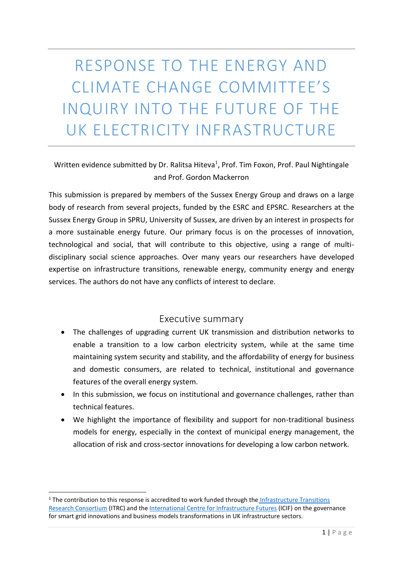RESPONSE TO THE ENERGY AND CLIMATE CHANGE COMMITTEE'S INQUIRY INTO THE FUTURE OF THE UK ELECTRICITY INFRASTRUCTURE

## Written evidence submitted by Dr. Ralitsa Hiteva<sup>1</sup>, Prof. Tim Foxon, Prof. Paul Nightingale and Prof. Gordon Mackerron

This submission is prepared by members of the Sussex Energy Group and draws on a large body of research from several projects, funded by the ESRC and EPSRC. Researchers at the Sussex Energy Group in SPRU, University of Sussex, are driven by an interest in prospects for a more sustainable energy future. Our primary focus is on the processes of innovation, technological and social, that will contribute to this objective, using a range of multidisciplinary social science approaches. Over many years our researchers have developed expertise on infrastructure transitions, renewable energy, community energy and energy services. The authors do not have any conflicts of interest to declare.

### Executive summary

- The challenges of upgrading current UK transmission and distribution networks to enable a transition to a low carbon electricity system, while at the same time maintaining system security and stability, and the affordability of energy for business and domestic consumers, are related to technical, institutional and governance features of the overall energy system.
- In this submission, we focus on institutional and governance challenges, rather than technical features.
- We highlight the importance of flexibility and support for non-traditional business models for energy, especially in the context of municipal energy management, the allocation of risk and cross-sector innovations for developing a low carbon network.

<sup>&</sup>lt;sup>1</sup> The contribution to this response is accredited to work funded through the Infrastructure Transitions [Research Consortium](http://www.itrc.org.uk/) (ITRC) and the [International Centre for Infrastructure Futures](http://www.icif.ac.uk/) (ICIF) on the governance for smart grid innovations and business models transformations in UK infrastructure sectors.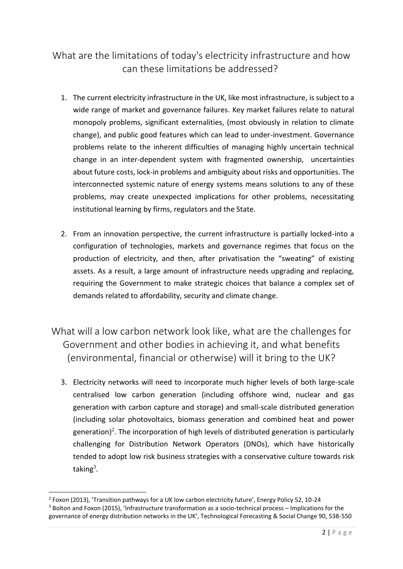# What are the limitations of today's electricity infrastructure and how can these limitations be addressed?

- 1. The current electricity infrastructure in the UK, like most infrastructure, is subject to a wide range of market and governance failures. Key market failures relate to natural monopoly problems, significant externalities, (most obviously in relation to climate change), and public good features which can lead to under-investment. Governance problems relate to the inherent difficulties of managing highly uncertain technical change in an inter-dependent system with fragmented ownership, uncertainties about future costs, lock-in problems and ambiguity about risks and opportunities. The interconnected systemic nature of energy systems means solutions to any of these problems, may create unexpected implications for other problems, necessitating institutional learning by firms, regulators and the State.
- 2. From an innovation perspective, the current infrastructure is partially locked-into a configuration of technologies, markets and governance regimes that focus on the production of electricity, and then, after privatisation the "sweating" of existing assets. As a result, a large amount of infrastructure needs upgrading and replacing, requiring the Government to make strategic choices that balance a complex set of demands related to affordability, security and climate change.
- What will a low carbon network look like, what are the challenges for Government and other bodies in achieving it, and what benefits (environmental, financial or otherwise) will it bring to the UK?
	- 3. Electricity networks will need to incorporate much higher levels of both large-scale centralised low carbon generation (including offshore wind, nuclear and gas generation with carbon capture and storage) and small-scale distributed generation (including solar photovoltaics, biomass generation and combined heat and power generation)<sup>2</sup>. The incorporation of high levels of distributed generation is particularly challenging for Distribution Network Operators (DNOs), which have historically tended to adopt low risk business strategies with a conservative culture towards risk taking<sup>3</sup>.

<sup>&</sup>lt;sup>2</sup> Foxon (2013), 'Transition pathways for a UK low carbon electricity future', Energy Policy 52, 10-24 <sup>3</sup> Bolton and Foxon (2015), 'Infrastructure transformation as a socio-technical process – Implications for the governance of energy distribution networks in the UK', Technological Forecasting & Social Change 90, 538-550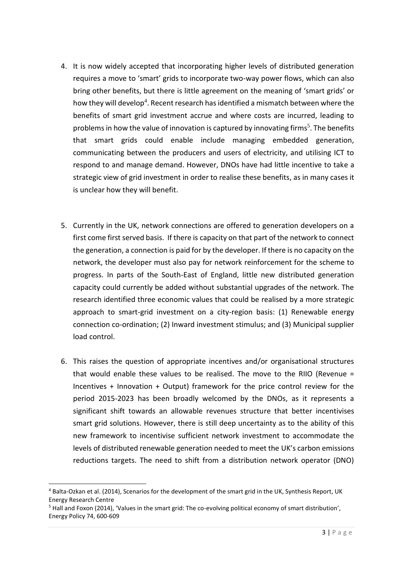- 4. It is now widely accepted that incorporating higher levels of distributed generation requires a move to 'smart' grids to incorporate two-way power flows, which can also bring other benefits, but there is little agreement on the meaning of 'smart grids' or how they will develop<sup>4</sup>. Recent research has identified a mismatch between where the benefits of smart grid investment accrue and where costs are incurred, leading to problems in how the value of innovation is captured by innovating firms<sup>5</sup>. The benefits that smart grids could enable include managing embedded generation, communicating between the producers and users of electricity, and utilising ICT to respond to and manage demand. However, DNOs have had little incentive to take a strategic view of grid investment in order to realise these benefits, as in many cases it is unclear how they will benefit.
- 5. Currently in the UK, network connections are offered to generation developers on a first come first served basis. If there is capacity on that part of the network to connect the generation, a connection is paid for by the developer. If there is no capacity on the network, the developer must also pay for network reinforcement for the scheme to progress. In parts of the South-East of England, little new distributed generation capacity could currently be added without substantial upgrades of the network. The research identified three economic values that could be realised by a more strategic approach to smart-grid investment on a city-region basis: (1) Renewable energy connection co-ordination; (2) Inward investment stimulus; and (3) Municipal supplier load control.
- 6. This raises the question of appropriate incentives and/or organisational structures that would enable these values to be realised. The move to the RIIO (Revenue = Incentives + Innovation + Output) framework for the price control review for the period 2015-2023 has been broadly welcomed by the DNOs, as it represents a significant shift towards an allowable revenues structure that better incentivises smart grid solutions. However, there is still deep uncertainty as to the ability of this new framework to incentivise sufficient network investment to accommodate the levels of distributed renewable generation needed to meet the UK's carbon emissions reductions targets. The need to shift from a distribution network operator (DNO)

<sup>4</sup> Balta-Ozkan et al. (2014), Scenarios for the development of the smart grid in the UK, Synthesis Report, UK Energy Research Centre

<sup>5</sup> Hall and Foxon (2014), 'Values in the smart grid: The co-evolving political economy of smart distribution', Energy Policy 74, 600-609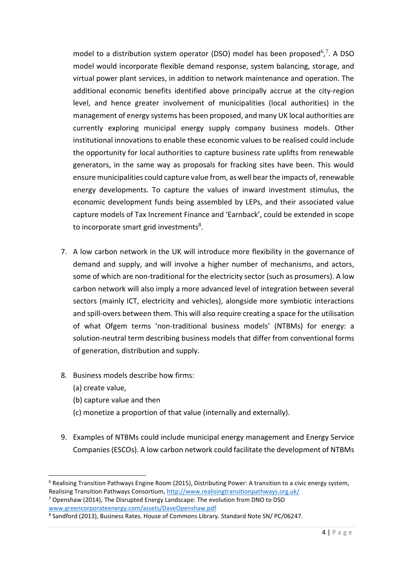model to a distribution system operator (DSO) model has been proposed<sup>6</sup>,<sup>7</sup>. A DSO model would incorporate flexible demand response, system balancing, storage, and virtual power plant services, in addition to network maintenance and operation. The additional economic benefits identified above principally accrue at the city-region level, and hence greater involvement of municipalities (local authorities) in the management of energy systems has been proposed, and many UK local authorities are currently exploring municipal energy supply company business models. Other institutional innovations to enable these economic values to be realised could include the opportunity for local authorities to capture business rate uplifts from renewable generators, in the same way as proposals for fracking sites have been. This would ensure municipalities could capture value from, as well bear the impacts of, renewable energy developments. To capture the values of inward investment stimulus, the economic development funds being assembled by LEPs, and their associated value capture models of Tax Increment Finance and 'Earnback', could be extended in scope to incorporate smart grid investments<sup>8</sup>.

- 7. A low carbon network in the UK will introduce more flexibility in the governance of demand and supply, and will involve a higher number of mechanisms, and actors, some of which are non-traditional for the electricity sector (such as prosumers). A low carbon network will also imply a more advanced level of integration between several sectors (mainly ICT, electricity and vehicles), alongside more symbiotic interactions and spill-overs between them. This will also require creating a space for the utilisation of what Ofgem terms 'non-traditional business models' (NTBMs) for energy: a solution-neutral term describing business models that differ from conventional forms of generation, distribution and supply.
- 8. Business models describe how firms:
	- (a) create value,

- (b) capture value and then
- (c) monetize a proportion of that value (internally and externally).
- 9. Examples of NTBMs could include municipal energy management and Energy Service Companies (ESCOs). A low carbon network could facilitate the development of NTBMs

 $6$  Realising Transition Pathways Engine Room (2015), Distributing Power: A transition to a civic energy system, Realising Transition Pathways Consortium[, http://www.realisingtransitionpathways.org.uk/](http://www.realisingtransitionpathways.org.uk/)

 $7$  Openshaw (2014), The Disrupted Energy Landscape: The evolution from DNO to DSO [www.greencorporateenergy.com/assets/DaveOpenshaw.pdf](http://www.greencorporateenergy.com/assets/DaveOpenshaw.pdf)

<sup>&</sup>lt;sup>8</sup> Sandford (2013), Business Rates. House of Commons Library. Standard Note SN/ PC/06247.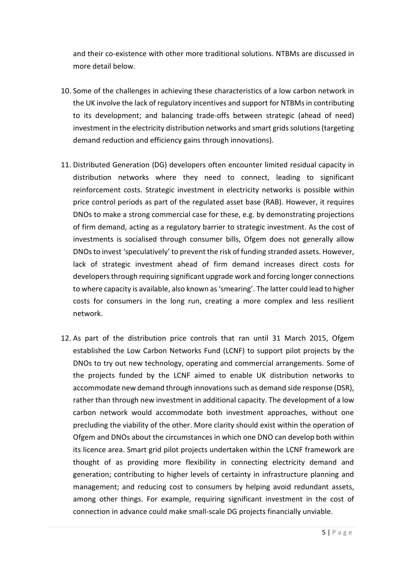and their co-existence with other more traditional solutions. NTBMs are discussed in more detail below.

- 10. Some of the challenges in achieving these characteristics of a low carbon network in the UK involve the lack of regulatory incentives and support for NTBMs in contributing to its development; and balancing trade-offs between strategic (ahead of need) investment in the electricity distribution networks and smart grids solutions (targeting demand reduction and efficiency gains through innovations).
- 11. Distributed Generation (DG) developers often encounter limited residual capacity in distribution networks where they need to connect, leading to significant reinforcement costs. Strategic investment in electricity networks is possible within price control periods as part of the regulated asset base (RAB). However, it requires DNOs to make a strong commercial case for these, e.g. by demonstrating projections of firm demand, acting as a regulatory barrier to strategic investment. As the cost of investments is socialised through consumer bills, Ofgem does not generally allow DNOs to invest 'speculatively' to prevent the risk of funding stranded assets. However, lack of strategic investment ahead of firm demand increases direct costs for developers through requiring significant upgrade work and forcing longer connections to where capacity is available, also known as 'smearing'. The latter could lead to higher costs for consumers in the long run, creating a more complex and less resilient network.
- 12. As part of the distribution price controls that ran until 31 March 2015, Ofgem established the Low Carbon Networks Fund (LCNF) to support pilot projects by the DNOs to try out new technology, operating and commercial arrangements. Some of the projects funded by the LCNF aimed to enable UK distribution networks to accommodate new demand through innovations such as demand side response (DSR), rather than through new investment in additional capacity. The development of a low carbon network would accommodate both investment approaches, without one precluding the viability of the other. More clarity should exist within the operation of Ofgem and DNOs about the circumstances in which one DNO can develop both within its licence area. Smart grid pilot projects undertaken within the LCNF framework are thought of as providing more flexibility in connecting electricity demand and generation; contributing to higher levels of certainty in infrastructure planning and management; and reducing cost to consumers by helping avoid redundant assets, among other things. For example, requiring significant investment in the cost of connection in advance could make small-scale DG projects financially unviable.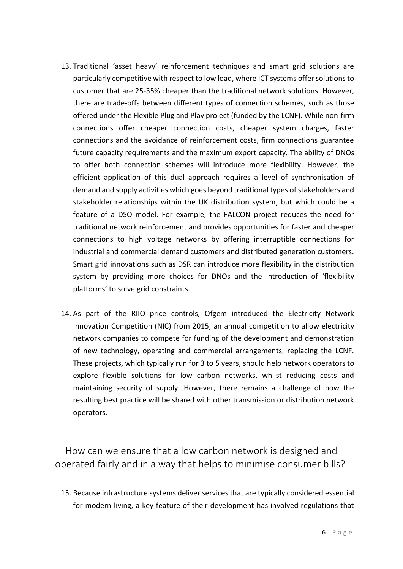- 13. Traditional 'asset heavy' reinforcement techniques and smart grid solutions are particularly competitive with respect to low load, where ICT systems offer solutions to customer that are 25-35% cheaper than the traditional network solutions. However, there are trade-offs between different types of connection schemes, such as those offered under the Flexible Plug and Play project (funded by the LCNF). While non-firm connections offer cheaper connection costs, cheaper system charges, faster connections and the avoidance of reinforcement costs, firm connections guarantee future capacity requirements and the maximum export capacity. The ability of DNOs to offer both connection schemes will introduce more flexibility. However, the efficient application of this dual approach requires a level of synchronisation of demand and supply activities which goes beyond traditional types of stakeholders and stakeholder relationships within the UK distribution system, but which could be a feature of a DSO model. For example, the FALCON project reduces the need for traditional network reinforcement and provides opportunities for faster and cheaper connections to high voltage networks by offering interruptible connections for industrial and commercial demand customers and distributed generation customers. Smart grid innovations such as DSR can introduce more flexibility in the distribution system by providing more choices for DNOs and the introduction of 'flexibility platforms' to solve grid constraints.
- 14. As part of the RIIO price controls, Ofgem introduced the Electricity Network Innovation Competition (NIC) from 2015, an annual competition to allow electricity network companies to compete for funding of the development and demonstration of new technology, operating and commercial arrangements, replacing the LCNF. These projects, which typically run for 3 to 5 years, should help network operators to explore flexible solutions for low carbon networks, whilst reducing costs and maintaining security of supply. However, there remains a challenge of how the resulting best practice will be shared with other transmission or distribution network operators.

How can we ensure that a low carbon network is designed and operated fairly and in a way that helps to minimise consumer bills?

15. Because infrastructure systems deliver services that are typically considered essential for modern living, a key feature of their development has involved regulations that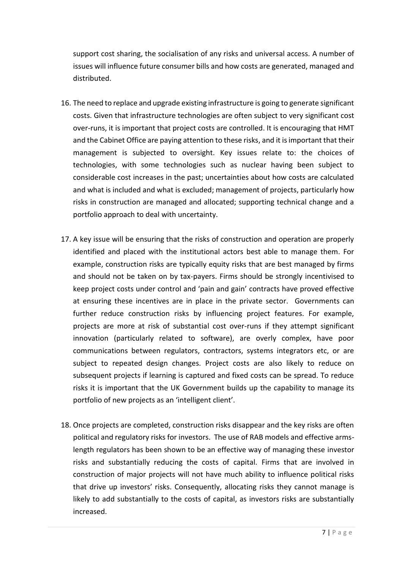support cost sharing, the socialisation of any risks and universal access. A number of issues will influence future consumer bills and how costs are generated, managed and distributed.

- 16. The need to replace and upgrade existing infrastructure is going to generate significant costs. Given that infrastructure technologies are often subject to very significant cost over-runs, it is important that project costs are controlled. It is encouraging that HMT and the Cabinet Office are paying attention to these risks, and it is important that their management is subjected to oversight. Key issues relate to: the choices of technologies, with some technologies such as nuclear having been subject to considerable cost increases in the past; uncertainties about how costs are calculated and what is included and what is excluded; management of projects, particularly how risks in construction are managed and allocated; supporting technical change and a portfolio approach to deal with uncertainty.
- 17. A key issue will be ensuring that the risks of construction and operation are properly identified and placed with the institutional actors best able to manage them. For example, construction risks are typically equity risks that are best managed by firms and should not be taken on by tax-payers. Firms should be strongly incentivised to keep project costs under control and 'pain and gain' contracts have proved effective at ensuring these incentives are in place in the private sector. Governments can further reduce construction risks by influencing project features. For example, projects are more at risk of substantial cost over-runs if they attempt significant innovation (particularly related to software), are overly complex, have poor communications between regulators, contractors, systems integrators etc, or are subject to repeated design changes. Project costs are also likely to reduce on subsequent projects if learning is captured and fixed costs can be spread. To reduce risks it is important that the UK Government builds up the capability to manage its portfolio of new projects as an 'intelligent client'.
- 18. Once projects are completed, construction risks disappear and the key risks are often political and regulatory risks for investors. The use of RAB models and effective armslength regulators has been shown to be an effective way of managing these investor risks and substantially reducing the costs of capital. Firms that are involved in construction of major projects will not have much ability to influence political risks that drive up investors' risks. Consequently, allocating risks they cannot manage is likely to add substantially to the costs of capital, as investors risks are substantially increased.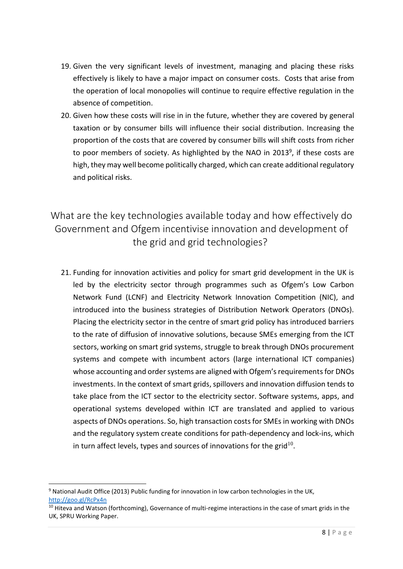- 19. Given the very significant levels of investment, managing and placing these risks effectively is likely to have a major impact on consumer costs. Costs that arise from the operation of local monopolies will continue to require effective regulation in the absence of competition.
- 20. Given how these costs will rise in in the future, whether they are covered by general taxation or by consumer bills will influence their social distribution. Increasing the proportion of the costs that are covered by consumer bills will shift costs from richer to poor members of society. As highlighted by the NAO in 2013<sup>9</sup>, if these costs are high, they may well become politically charged, which can create additional regulatory and political risks.

What are the key technologies available today and how effectively do Government and Ofgem incentivise innovation and development of the grid and grid technologies?

21. Funding for innovation activities and policy for smart grid development in the UK is led by the electricity sector through programmes such as Ofgem's Low Carbon Network Fund (LCNF) and Electricity Network Innovation Competition (NIC), and introduced into the business strategies of Distribution Network Operators (DNOs). Placing the electricity sector in the centre of smart grid policy has introduced barriers to the rate of diffusion of innovative solutions, because SMEs emerging from the ICT sectors, working on smart grid systems, struggle to break through DNOs procurement systems and compete with incumbent actors (large international ICT companies) whose accounting and order systems are aligned with Ofgem's requirements for DNOs investments. In the context of smart grids, spillovers and innovation diffusion tends to take place from the ICT sector to the electricity sector. Software systems, apps, and operational systems developed within ICT are translated and applied to various aspects of DNOs operations. So, high transaction costs for SMEs in working with DNOs and the regulatory system create conditions for path-dependency and lock-ins, which in turn affect levels, types and sources of innovations for the grid $^{10}$ .

<sup>&</sup>lt;sup>9</sup> National Audit Office (2013) Public funding for innovation in low carbon technologies in the UK, <http://goo.gl/RcPx4n>

<sup>&</sup>lt;sup>10</sup> Hiteva and Watson (forthcoming), Governance of multi-regime interactions in the case of smart grids in the UK, SPRU Working Paper.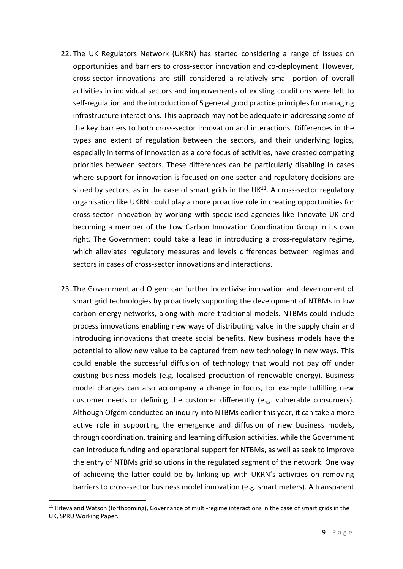- 22. The UK Regulators Network (UKRN) has started considering a range of issues on opportunities and barriers to cross-sector innovation and co-deployment. However, cross-sector innovations are still considered a relatively small portion of overall activities in individual sectors and improvements of existing conditions were left to self-regulation and the introduction of 5 general good practice principles for managing infrastructure interactions. This approach may not be adequate in addressing some of the key barriers to both cross-sector innovation and interactions. Differences in the types and extent of regulation between the sectors, and their underlying logics, especially in terms of innovation as a core focus of activities, have created competing priorities between sectors. These differences can be particularly disabling in cases where support for innovation is focused on one sector and regulatory decisions are siloed by sectors, as in the case of smart grids in the UK $^{11}$ . A cross-sector regulatory organisation like UKRN could play a more proactive role in creating opportunities for cross-sector innovation by working with specialised agencies like Innovate UK and becoming a member of the Low Carbon Innovation Coordination Group in its own right. The Government could take a lead in introducing a cross-regulatory regime, which alleviates regulatory measures and levels differences between regimes and sectors in cases of cross-sector innovations and interactions.
- 23. The Government and Ofgem can further incentivise innovation and development of smart grid technologies by proactively supporting the development of NTBMs in low carbon energy networks, along with more traditional models. NTBMs could include process innovations enabling new ways of distributing value in the supply chain and introducing innovations that create social benefits. New business models have the potential to allow new value to be captured from new technology in new ways. This could enable the successful diffusion of technology that would not pay off under existing business models (e.g. localised production of renewable energy). Business model changes can also accompany a change in focus, for example fulfilling new customer needs or defining the customer differently (e.g. vulnerable consumers). Although Ofgem conducted an inquiry into NTBMs earlier this year, it can take a more active role in supporting the emergence and diffusion of new business models, through coordination, training and learning diffusion activities, while the Government can introduce funding and operational support for NTBMs, as well as seek to improve the entry of NTBMs grid solutions in the regulated segment of the network. One way of achieving the latter could be by linking up with UKRN's activities on removing barriers to cross-sector business model innovation (e.g. smart meters). A transparent

<sup>-</sup><sup>11</sup> Hiteva and Watson (forthcoming), Governance of multi-regime interactions in the case of smart grids in the UK, SPRU Working Paper.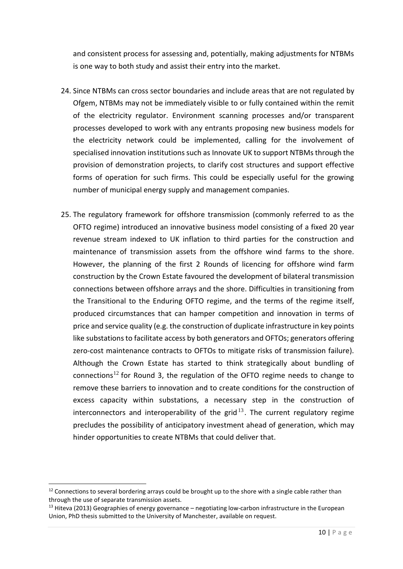and consistent process for assessing and, potentially, making adjustments for NTBMs is one way to both study and assist their entry into the market.

- 24. Since NTBMs can cross sector boundaries and include areas that are not regulated by Ofgem, NTBMs may not be immediately visible to or fully contained within the remit of the electricity regulator. Environment scanning processes and/or transparent processes developed to work with any entrants proposing new business models for the electricity network could be implemented, calling for the involvement of specialised innovation institutions such as Innovate UK to support NTBMs through the provision of demonstration projects, to clarify cost structures and support effective forms of operation for such firms. This could be especially useful for the growing number of municipal energy supply and management companies.
- 25. The regulatory framework for offshore transmission (commonly referred to as the OFTO regime) introduced an innovative business model consisting of a fixed 20 year revenue stream indexed to UK inflation to third parties for the construction and maintenance of transmission assets from the offshore wind farms to the shore. However, the planning of the first 2 Rounds of licencing for offshore wind farm construction by the Crown Estate favoured the development of bilateral transmission connections between offshore arrays and the shore. Difficulties in transitioning from the Transitional to the Enduring OFTO regime, and the terms of the regime itself, produced circumstances that can hamper competition and innovation in terms of price and service quality (e.g. the construction of duplicate infrastructure in key points like substations to facilitate access by both generators and OFTOs; generators offering zero-cost maintenance contracts to OFTOs to mitigate risks of transmission failure). Although the Crown Estate has started to think strategically about bundling of connections<sup>12</sup> for Round 3, the regulation of the OFTO regime needs to change to remove these barriers to innovation and to create conditions for the construction of excess capacity within substations, a necessary step in the construction of interconnectors and interoperability of the grid<sup>13</sup>. The current regulatory regime precludes the possibility of anticipatory investment ahead of generation, which may hinder opportunities to create NTBMs that could deliver that.

<sup>&</sup>lt;sup>12</sup> Connections to several bordering arrays could be brought up to the shore with a single cable rather than through the use of separate transmission assets.

<sup>&</sup>lt;sup>13</sup> Hiteva (2013) Geographies of energy governance – negotiating low-carbon infrastructure in the European Union, PhD thesis submitted to the University of Manchester, available on request.